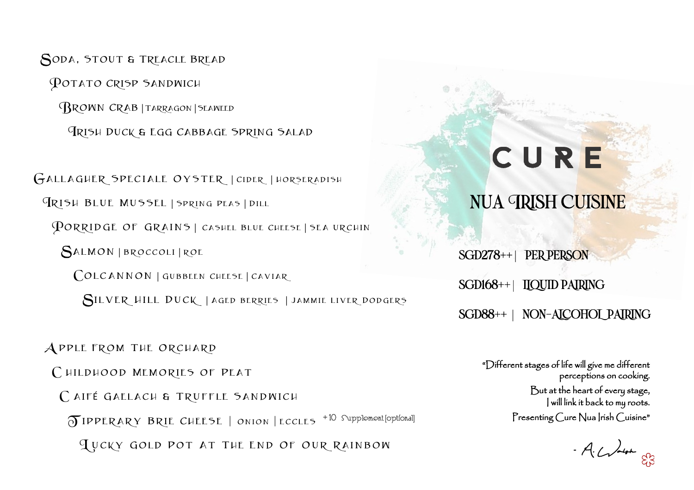sgd278++ | PER PERSON

POTATO CRISP SANDWICH Brown Crab | Tarragon | Seaweed Irish Duck & Egg Cabbage Spring Salad

SODA, STOUT & TREACLE BREAD

# CURE

### NUA CRISH CUISINE

#### SGD168++ | LIQUID PAIRING

#### SGD88++ | NON-ALCOHOL PAIRING

"Different stages of life will give me different perceptions on cooking. But at the heart of every stage, I will link it back to my roots. Presenting Cure Nua Irish Cuisine"

-A. Walsh

GALLAGHER SPECIALE OYSTER | CIDER | HORSERADISH Irish Blue Mussel | Spring Peas | Dill PORRIDGE OF GRAINS | CASHEL BLUE CHEESE | SEA URCHIN Salmon | BROCCOLI | rOE COLCANNON | GUBBEEN CHEESE | CAVIAR Silver Hill Duck | Aged berries | Jammie Liver Dodgers

A pple From The Orchard CHILDHOOD MEMORIES OF PEAT CAIFÉ GAELACH & TRUFFLE SANDWICH T ipperary Brie Cheese | Onion | ECCLES + 10 Supplement [optional] L ucky Gold Pot At The End Of Our Rainbow